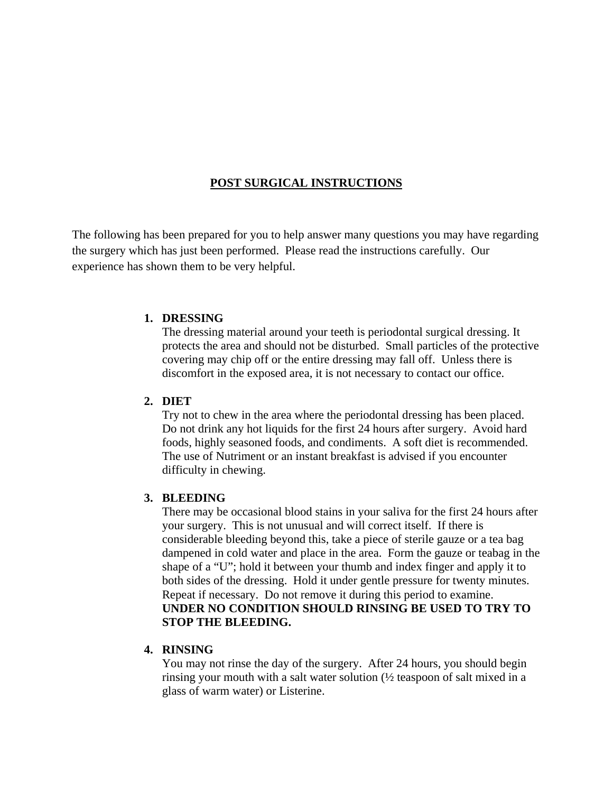# **POST SURGICAL INSTRUCTIONS**

The following has been prepared for you to help answer many questions you may have regarding the surgery which has just been performed. Please read the instructions carefully. Our experience has shown them to be very helpful.

#### **1. DRESSING**

The dressing material around your teeth is periodontal surgical dressing. It protects the area and should not be disturbed. Small particles of the protective covering may chip off or the entire dressing may fall off. Unless there is discomfort in the exposed area, it is not necessary to contact our office.

#### **2. DIET**

Try not to chew in the area where the periodontal dressing has been placed. Do not drink any hot liquids for the first 24 hours after surgery. Avoid hard foods, highly seasoned foods, and condiments. A soft diet is recommended. The use of Nutriment or an instant breakfast is advised if you encounter difficulty in chewing.

### **3. BLEEDING**

There may be occasional blood stains in your saliva for the first 24 hours after your surgery. This is not unusual and will correct itself. If there is considerable bleeding beyond this, take a piece of sterile gauze or a tea bag dampened in cold water and place in the area. Form the gauze or teabag in the shape of a "U"; hold it between your thumb and index finger and apply it to both sides of the dressing. Hold it under gentle pressure for twenty minutes. Repeat if necessary. Do not remove it during this period to examine. **UNDER NO CONDITION SHOULD RINSING BE USED TO TRY TO STOP THE BLEEDING.** 

### **4. RINSING**

You may not rinse the day of the surgery. After 24 hours, you should begin rinsing your mouth with a salt water solution (½ teaspoon of salt mixed in a glass of warm water) or Listerine.